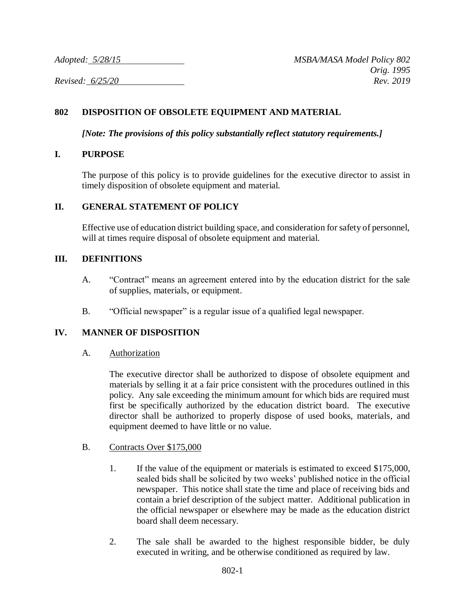*Adopted: 5/28/15 MSBA/MASA Model Policy 802 Orig. 1995*

*Revised: 6/25/20 Rev. 2019*

# **802 DISPOSITION OF OBSOLETE EQUIPMENT AND MATERIAL**

*[Note: The provisions of this policy substantially reflect statutory requirements.]*

#### **I. PURPOSE**

The purpose of this policy is to provide guidelines for the executive director to assist in timely disposition of obsolete equipment and material.

## **II. GENERAL STATEMENT OF POLICY**

Effective use of education district building space, and consideration for safety of personnel, will at times require disposal of obsolete equipment and material.

## **III. DEFINITIONS**

- A. "Contract" means an agreement entered into by the education district for the sale of supplies, materials, or equipment.
- B. "Official newspaper" is a regular issue of a qualified legal newspaper.

# **IV. MANNER OF DISPOSITION**

A. Authorization

The executive director shall be authorized to dispose of obsolete equipment and materials by selling it at a fair price consistent with the procedures outlined in this policy. Any sale exceeding the minimum amount for which bids are required must first be specifically authorized by the education district board. The executive director shall be authorized to properly dispose of used books, materials, and equipment deemed to have little or no value.

- B. Contracts Over \$175,000
	- 1. If the value of the equipment or materials is estimated to exceed \$175,000, sealed bids shall be solicited by two weeks' published notice in the official newspaper. This notice shall state the time and place of receiving bids and contain a brief description of the subject matter. Additional publication in the official newspaper or elsewhere may be made as the education district board shall deem necessary.
	- 2. The sale shall be awarded to the highest responsible bidder, be duly executed in writing, and be otherwise conditioned as required by law.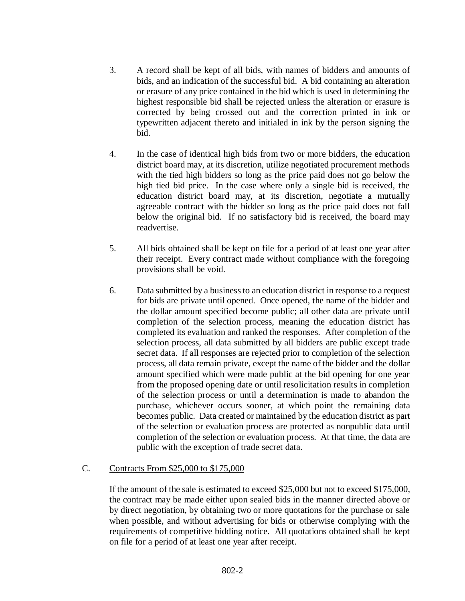- 3. A record shall be kept of all bids, with names of bidders and amounts of bids, and an indication of the successful bid. A bid containing an alteration or erasure of any price contained in the bid which is used in determining the highest responsible bid shall be rejected unless the alteration or erasure is corrected by being crossed out and the correction printed in ink or typewritten adjacent thereto and initialed in ink by the person signing the bid.
- 4. In the case of identical high bids from two or more bidders, the education district board may, at its discretion, utilize negotiated procurement methods with the tied high bidders so long as the price paid does not go below the high tied bid price. In the case where only a single bid is received, the education district board may, at its discretion, negotiate a mutually agreeable contract with the bidder so long as the price paid does not fall below the original bid. If no satisfactory bid is received, the board may readvertise.
- 5. All bids obtained shall be kept on file for a period of at least one year after their receipt. Every contract made without compliance with the foregoing provisions shall be void.
- 6. Data submitted by a business to an education district in response to a request for bids are private until opened. Once opened, the name of the bidder and the dollar amount specified become public; all other data are private until completion of the selection process, meaning the education district has completed its evaluation and ranked the responses. After completion of the selection process, all data submitted by all bidders are public except trade secret data. If all responses are rejected prior to completion of the selection process, all data remain private, except the name of the bidder and the dollar amount specified which were made public at the bid opening for one year from the proposed opening date or until resolicitation results in completion of the selection process or until a determination is made to abandon the purchase, whichever occurs sooner, at which point the remaining data becomes public. Data created or maintained by the education district as part of the selection or evaluation process are protected as nonpublic data until completion of the selection or evaluation process. At that time, the data are public with the exception of trade secret data.

# C. Contracts From \$25,000 to \$175,000

If the amount of the sale is estimated to exceed \$25,000 but not to exceed \$175,000, the contract may be made either upon sealed bids in the manner directed above or by direct negotiation, by obtaining two or more quotations for the purchase or sale when possible, and without advertising for bids or otherwise complying with the requirements of competitive bidding notice. All quotations obtained shall be kept on file for a period of at least one year after receipt.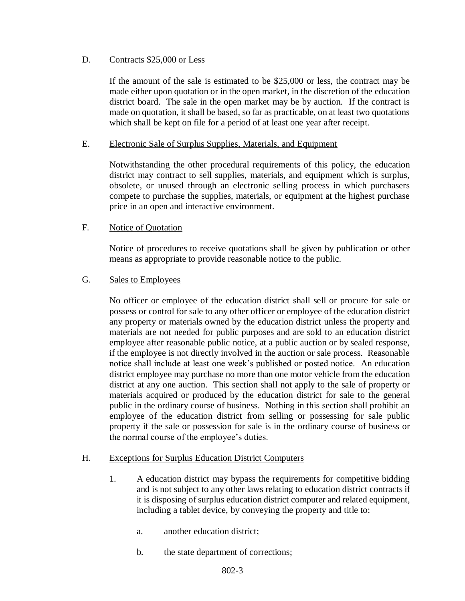## D. Contracts \$25,000 or Less

If the amount of the sale is estimated to be \$25,000 or less, the contract may be made either upon quotation or in the open market, in the discretion of the education district board. The sale in the open market may be by auction. If the contract is made on quotation, it shall be based, so far as practicable, on at least two quotations which shall be kept on file for a period of at least one year after receipt.

#### E. Electronic Sale of Surplus Supplies, Materials, and Equipment

Notwithstanding the other procedural requirements of this policy, the education district may contract to sell supplies, materials, and equipment which is surplus, obsolete, or unused through an electronic selling process in which purchasers compete to purchase the supplies, materials, or equipment at the highest purchase price in an open and interactive environment.

## F. Notice of Quotation

Notice of procedures to receive quotations shall be given by publication or other means as appropriate to provide reasonable notice to the public.

#### G. Sales to Employees

No officer or employee of the education district shall sell or procure for sale or possess or control for sale to any other officer or employee of the education district any property or materials owned by the education district unless the property and materials are not needed for public purposes and are sold to an education district employee after reasonable public notice, at a public auction or by sealed response, if the employee is not directly involved in the auction or sale process. Reasonable notice shall include at least one week's published or posted notice. An education district employee may purchase no more than one motor vehicle from the education district at any one auction. This section shall not apply to the sale of property or materials acquired or produced by the education district for sale to the general public in the ordinary course of business. Nothing in this section shall prohibit an employee of the education district from selling or possessing for sale public property if the sale or possession for sale is in the ordinary course of business or the normal course of the employee's duties.

#### H. Exceptions for Surplus Education District Computers

- 1. A education district may bypass the requirements for competitive bidding and is not subject to any other laws relating to education district contracts if it is disposing of surplus education district computer and related equipment, including a tablet device, by conveying the property and title to:
	- a. another education district;
	- b. the state department of corrections;